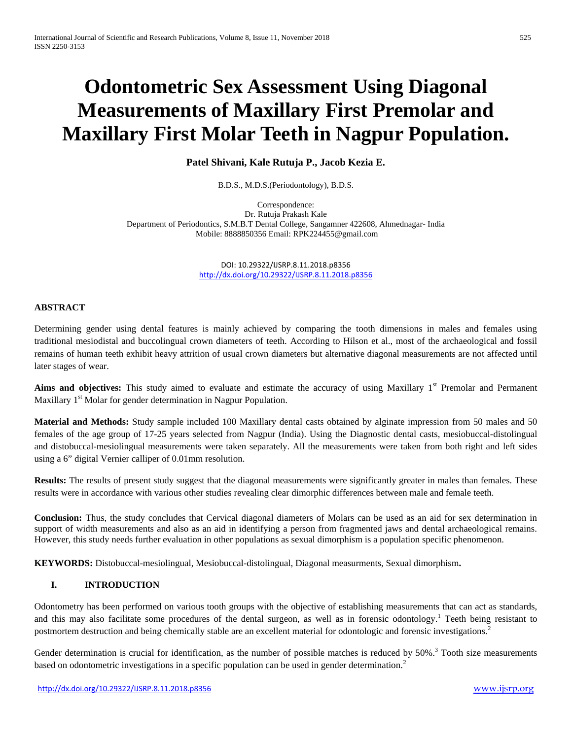# **Odontometric Sex Assessment Using Diagonal Measurements of Maxillary First Premolar and Maxillary First Molar Teeth in Nagpur Population.**

**Patel Shivani, Kale Rutuja P., Jacob Kezia E.**

B.D.S., M.D.S.(Periodontology), B.D.S.

Correspondence: Dr. Rutuja Prakash Kale Department of Periodontics, S.M.B.T Dental College, Sangamner 422608, Ahmednagar- India Mobile: 8888850356 Email: RPK224455@gmail.com

> DOI: 10.29322/IJSRP.8.11.2018.p8356 <http://dx.doi.org/10.29322/IJSRP.8.11.2018.p8356>

## **ABSTRACT**

Determining gender using dental features is mainly achieved by comparing the tooth dimensions in males and females using traditional mesiodistal and buccolingual crown diameters of teeth. According to Hilson et al., most of the archaeological and fossil remains of human teeth exhibit heavy attrition of usual crown diameters but alternative diagonal measurements are not affected until later stages of wear.

**Aims and objectives:** This study aimed to evaluate and estimate the accuracy of using Maxillary 1<sup>st</sup> Premolar and Permanent Maxillary 1<sup>st</sup> Molar for gender determination in Nagpur Population.

**Material and Methods:** Study sample included 100 Maxillary dental casts obtained by alginate impression from 50 males and 50 females of the age group of 17-25 years selected from Nagpur (India). Using the Diagnostic dental casts, mesiobuccal-distolingual and distobuccal-mesiolingual measurements were taken separately. All the measurements were taken from both right and left sides using a 6" digital Vernier calliper of 0.01mm resolution.

**Results:** The results of present study suggest that the diagonal measurements were significantly greater in males than females. These results were in accordance with various other studies revealing clear dimorphic differences between male and female teeth.

**Conclusion:** Thus, the study concludes that Cervical diagonal diameters of Molars can be used as an aid for sex determination in support of width measurements and also as an aid in identifying a person from fragmented jaws and dental archaeological remains. However, this study needs further evaluation in other populations as sexual dimorphism is a population specific phenomenon.

**KEYWORDS:** Distobuccal-mesiolingual, Mesiobuccal-distolingual, Diagonal measurments, Sexual dimorphism**.**

## **I. INTRODUCTION**

Odontometry has been performed on various tooth groups with the objective of establishing measurements that can act as standards, and this may also facilitate some procedures of the dental surgeon, as well as in forensic odontology.<sup>1</sup> Teeth being resistant to postmortem destruction and being chemically stable are an excellent material for odontologic and forensic investigations.<sup>2</sup>

Gender determination is crucial for identification, as the number of possible matches is reduced by  $50\%$ .<sup>3</sup> Tooth size measurements based on odontometric investigations in a specific population can be used in gender determination.<sup>2</sup>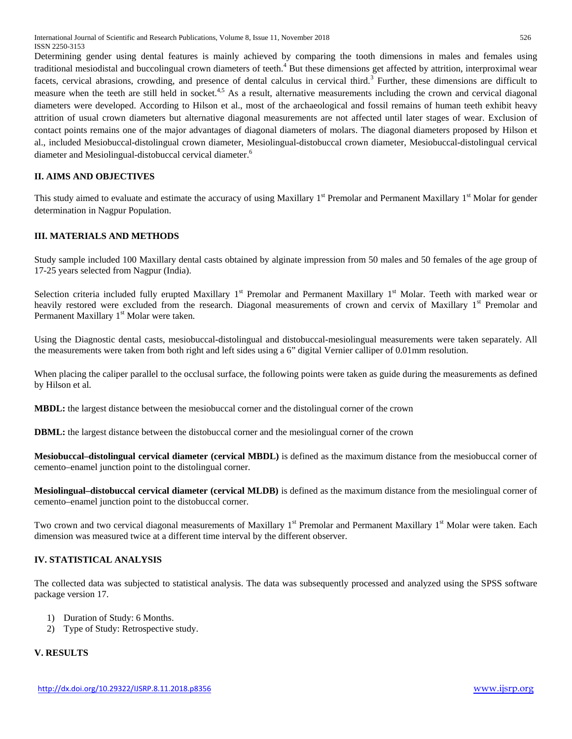Determining gender using dental features is mainly achieved by comparing the tooth dimensions in males and females using traditional mesiodistal and buccolingual crown diameters of teeth.<sup>4</sup> But these dimensions get affected by attrition, interproximal wear facets, cervical abrasions, crowding, and presence of dental calculus in cervical third.<sup>3</sup> Further, these dimensions are difficult to measure when the teeth are still held in socket.<sup>4,5</sup> As a result, alternative measurements including the crown and cervical diagonal diameters were developed. According to Hilson et al., most of the archaeological and fossil remains of human teeth exhibit heavy attrition of usual crown diameters but alternative diagonal measurements are not affected until later stages of wear. Exclusion of contact points remains one of the major advantages of diagonal diameters of molars. The diagonal diameters proposed by Hilson et al., included Mesiobuccal-distolingual crown diameter, Mesiolingual-distobuccal crown diameter, Mesiobuccal-distolingual cervical diameter and Mesiolingual-distobuccal cervical diameter.<sup>6</sup>

## **II. AIMS AND OBJECTIVES**

This study aimed to evaluate and estimate the accuracy of using Maxillary 1<sup>st</sup> Premolar and Permanent Maxillary 1<sup>st</sup> Molar for gender determination in Nagpur Population.

#### **III. MATERIALS AND METHODS**

Study sample included 100 Maxillary dental casts obtained by alginate impression from 50 males and 50 females of the age group of 17-25 years selected from Nagpur (India).

Selection criteria included fully erupted Maxillary  $1<sup>st</sup>$  Premolar and Permanent Maxillary  $1<sup>st</sup>$  Molar. Teeth with marked wear or heavily restored were excluded from the research. Diagonal measurements of crown and cervix of Maxillary  $1<sup>st</sup>$  Premolar and Permanent Maxillary 1<sup>st</sup> Molar were taken.

Using the Diagnostic dental casts, mesiobuccal-distolingual and distobuccal-mesiolingual measurements were taken separately. All the measurements were taken from both right and left sides using a 6" digital Vernier calliper of 0.01mm resolution.

When placing the caliper parallel to the occlusal surface, the following points were taken as guide during the measurements as defined by Hilson et al.

**MBDL:** the largest distance between the mesiobuccal corner and the distolingual corner of the crown

**DBML:** the largest distance between the distobuccal corner and the mesiolingual corner of the crown

**Mesiobuccal–distolingual cervical diameter (cervical MBDL)** is defined as the maximum distance from the mesiobuccal corner of cemento–enamel junction point to the distolingual corner.

**Mesiolingual–distobuccal cervical diameter (cervical MLDB)** is defined as the maximum distance from the mesiolingual corner of cemento–enamel junction point to the distobuccal corner.

Two crown and two cervical diagonal measurements of Maxillary  $1<sup>st</sup>$  Premolar and Permanent Maxillary  $1<sup>st</sup>$  Molar were taken. Each dimension was measured twice at a different time interval by the different observer.

#### **IV. STATISTICAL ANALYSIS**

The collected data was subjected to statistical analysis. The data was subsequently processed and analyzed using the SPSS software package version 17.

- 1) Duration of Study: 6 Months.
- 2) Type of Study: Retrospective study.

# **V. RESULTS**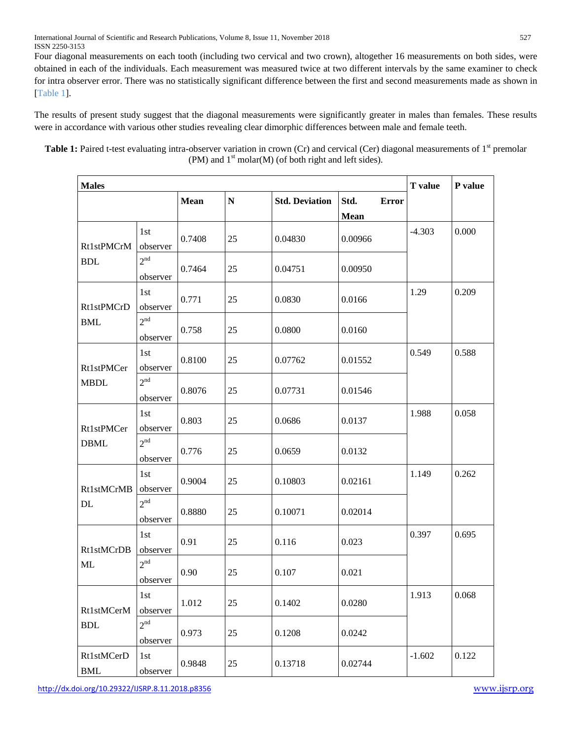International Journal of Scientific and Research Publications, Volume 8, Issue 11, November 2018 527 ISSN 2250-3153

Four diagonal measurements on each tooth (including two cervical and two crown), altogether 16 measurements on both sides, were obtained in each of the individuals. Each measurement was measured twice at two different intervals by the same examiner to check for intra observer error. There was no statistically significant difference between the first and second measurements made as shown in [Table 1].

The results of present study suggest that the diagonal measurements were significantly greater in males than females. These results were in accordance with various other studies revealing clear dimorphic differences between male and female teeth.

**Table 1:** Paired t-test evaluating intra-observer variation in crown (Cr) and cervical (Cer) diagonal measurements of 1<sup>st</sup> premolar (PM) and  $1<sup>st</sup>$  molar(M) (of both right and left sides).

| <b>Males</b>                       |                             |             |           |                       |                      | <b>T</b> value | P value |
|------------------------------------|-----------------------------|-------------|-----------|-----------------------|----------------------|----------------|---------|
|                                    |                             | <b>Mean</b> | ${\bf N}$ | <b>Std. Deviation</b> | Std.<br><b>Error</b> |                |         |
|                                    |                             |             |           |                       | <b>Mean</b>          |                |         |
| Rt1stPMCrM<br><b>BDL</b>           | 1st<br>observer             | 0.7408      | 25        | 0.04830               | 0.00966              | $-4.303$       | 0.000   |
|                                    | 2 <sup>nd</sup><br>observer | 0.7464      | 25        | 0.04751               | 0.00950              |                |         |
| Rt1stPMCrD                         | 1st<br>observer             | 0.771       | 25        | 0.0830                | 0.0166               | 1.29           | 0.209   |
| <b>BML</b>                         | 2 <sup>nd</sup><br>observer | 0.758       | 25        | 0.0800                | 0.0160               |                |         |
| Rt1stPMCer                         | 1st<br>observer             | 0.8100      | 25        | 0.07762               | 0.01552              | 0.549          | 0.588   |
| <b>MBDL</b>                        | 2 <sup>nd</sup><br>observer | 0.8076      | 25        | 0.07731               | 0.01546              |                |         |
| Rt1stPMCer                         | 1st<br>observer             | 0.803       | 25        | 0.0686                | 0.0137               | 1.988          | 0.058   |
| <b>DBML</b>                        | 2 <sup>nd</sup><br>observer | 0.776       | 25        | 0.0659                | 0.0132               |                |         |
| Rt1stMCrMB                         | 1st<br>observer             | 0.9004      | 25        | 0.10803               | 0.02161              | 1.149          | 0.262   |
| DL                                 | 2 <sup>nd</sup><br>observer | 0.8880      | 25        | 0.10071               | 0.02014              |                |         |
| Rt1stMCrDB<br><b>ML</b>            | 1st<br>observer             | 0.91        | 25        | 0.116                 | 0.023                | 0.397          | 0.695   |
|                                    | 2 <sup>nd</sup><br>observer | 0.90        | 25        | 0.107                 | 0.021                |                |         |
| Rt1stMCerM<br>$\operatorname{BDL}$ | 1st<br>observer             | 1.012       | 25        | 0.1402                | 0.0280               | 1.913          | 0.068   |
|                                    | 2 <sup>nd</sup><br>observer | 0.973       | $25\,$    | 0.1208                | 0.0242               |                |         |
| Rt1stMCerD<br>$\mathbf{BML}$       | 1st<br>observer             | 0.9848      | 25        | 0.13718               | 0.02744              | $-1.602$       | 0.122   |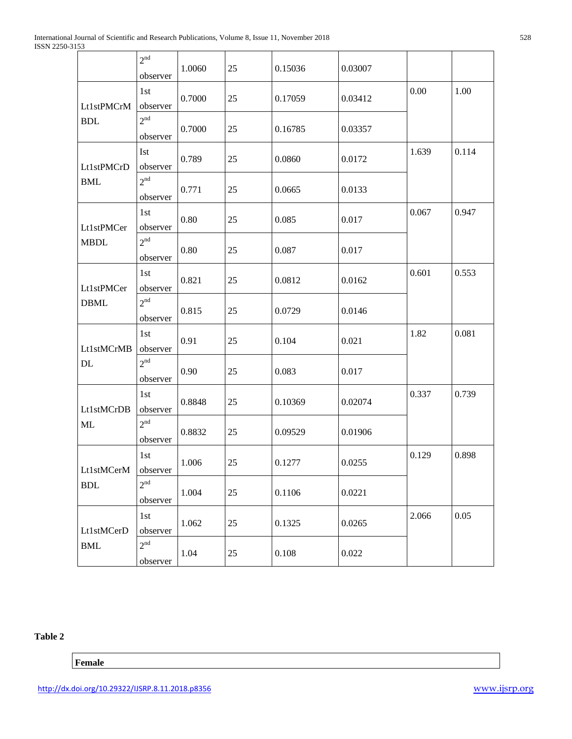|                                    | 2 <sup>nd</sup><br>observer | 1.0060 | 25     | 0.15036 | 0.03007 |       |       |
|------------------------------------|-----------------------------|--------|--------|---------|---------|-------|-------|
| Lt1stPMCrM<br><b>BDL</b>           | 1st<br>observer             | 0.7000 | 25     | 0.17059 | 0.03412 | 0.00  | 1.00  |
|                                    | 2 <sup>nd</sup><br>observer | 0.7000 | 25     | 0.16785 | 0.03357 |       |       |
| Lt1stPMCrD                         | <b>Ist</b><br>observer      | 0.789  | 25     | 0.0860  | 0.0172  | 1.639 | 0.114 |
| <b>BML</b>                         | 2 <sup>nd</sup><br>observer | 0.771  | 25     | 0.0665  | 0.0133  |       |       |
| Lt1stPMCer                         | 1st<br>observer             | 0.80   | 25     | 0.085   | 0.017   | 0.067 | 0.947 |
| <b>MBDL</b>                        | 2 <sup>nd</sup><br>observer | 0.80   | 25     | 0.087   | 0.017   |       |       |
| Lt1stPMCer                         | 1st<br>observer             | 0.821  | 25     | 0.0812  | 0.0162  | 0.601 | 0.553 |
| <b>DBML</b>                        | 2 <sup>nd</sup><br>observer | 0.815  | 25     | 0.0729  | 0.0146  |       |       |
| Lt1stMCrMB                         | 1st<br>observer             | 0.91   | 25     | 0.104   | 0.021   | 1.82  | 0.081 |
| DL                                 | 2 <sup>nd</sup><br>observer | 0.90   | 25     | 0.083   | 0.017   |       |       |
| Lt1stMCrDB                         | 1st<br>observer             | 0.8848 | 25     | 0.10369 | 0.02074 | 0.337 | 0.739 |
| <b>ML</b>                          | 2 <sup>nd</sup><br>observer | 0.8832 | 25     | 0.09529 | 0.01906 |       |       |
| Lt1stMCerM<br><b>BDL</b>           | 1st<br>observer             | 1.006  | 25     | 0.1277  | 0.0255  | 0.129 | 0.898 |
|                                    | 2 <sup>nd</sup><br>observer | 1.004  | 25     | 0.1106  | 0.0221  |       |       |
| Lt1stMCerD<br>$\operatorname{BMI}$ | 1st<br>observer             | 1.062  | $25\,$ | 0.1325  | 0.0265  | 2.066 | 0.05  |
|                                    | 2 <sup>nd</sup><br>observer | 1.04   | 25     | 0.108   | 0.022   |       |       |

## **Table 2**

# **Female**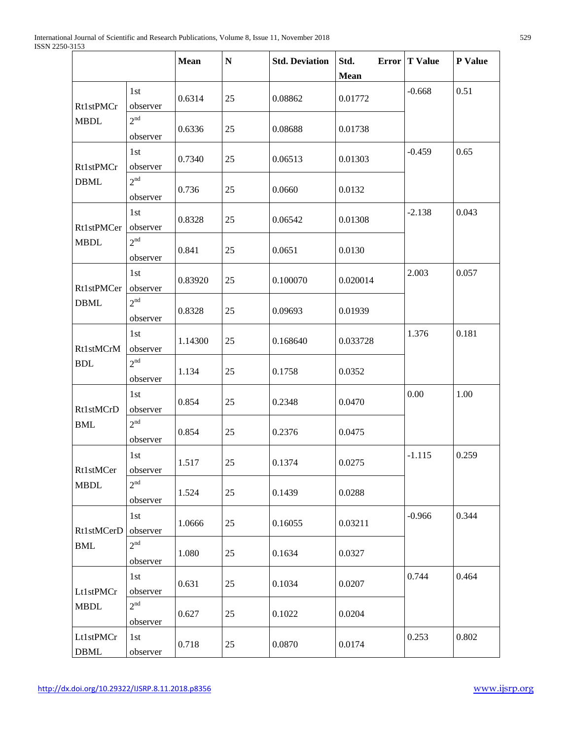|                          |                             | Mean    | ${\bf N}$ | <b>Std. Deviation</b> | Std.<br><b>Mean</b> | Error   T Value | P Value |
|--------------------------|-----------------------------|---------|-----------|-----------------------|---------------------|-----------------|---------|
| Rt1stPMCr<br><b>MBDL</b> | 1st<br>observer             | 0.6314  | 25        | 0.08862               | 0.01772             | $-0.668$        | 0.51    |
|                          | 2 <sup>nd</sup><br>observer | 0.6336  | 25        | 0.08688               | 0.01738             |                 |         |
| Rt1stPMCr                | 1st<br>observer             | 0.7340  | 25        | 0.06513               | 0.01303             | $-0.459$        | 0.65    |
| <b>DBML</b>              | 2 <sup>nd</sup><br>observer | 0.736   | 25        | 0.0660                | 0.0132              |                 |         |
| Rt1stPMCer               | 1st<br>observer             | 0.8328  | 25        | 0.06542               | 0.01308             | $-2.138$        | 0.043   |
| <b>MBDL</b>              | 2 <sup>nd</sup><br>observer | 0.841   | 25        | 0.0651                | 0.0130              |                 |         |
| Rt1stPMCer               | 1st<br>observer             | 0.83920 | 25        | 0.100070              | 0.020014            | 2.003           | 0.057   |
| <b>DBML</b>              | 2 <sup>nd</sup><br>observer | 0.8328  | 25        | 0.09693               | 0.01939             |                 |         |
| Rt1stMCrM<br><b>BDL</b>  | 1st<br>observer             | 1.14300 | 25        | 0.168640              | 0.033728            | 1.376           | 0.181   |
|                          | 2 <sup>nd</sup><br>observer | 1.134   | 25        | 0.1758                | 0.0352              |                 |         |
| <b>Rt1stMCrD</b>         | 1st<br>observer             | 0.854   | 25        | 0.2348                | 0.0470              | 0.00            | 1.00    |
| <b>BML</b>               | 2 <sup>nd</sup><br>observer | 0.854   | 25        | 0.2376                | 0.0475              |                 |         |
| Rt1stMCer                | 1st<br>observer             | 1.517   | 25        | 0.1374                | 0.0275              | $-1.115$        | 0.259   |
| <b>MBDL</b>              | 2 <sup>nd</sup><br>observer | 1.524   | 25        | 0.1439                | 0.0288              |                 |         |
| Rt1stMCerD<br><b>BML</b> | 1st<br>observer             | 1.0666  | 25        | 0.16055               | 0.03211             | $-0.966$        | 0.344   |
|                          | 2 <sup>nd</sup><br>observer | 1.080   | 25        | 0.1634                | 0.0327              |                 |         |
| Lt1stPMCr<br><b>MBDL</b> | 1st<br>observer             | 0.631   | 25        | 0.1034                | 0.0207              | 0.744           | 0.464   |
|                          | 2 <sup>nd</sup><br>observer | 0.627   | 25        | 0.1022                | 0.0204              |                 |         |
| Lt1stPMCr<br><b>DBML</b> | 1st<br>observer             | 0.718   | 25        | 0.0870                | 0.0174              | 0.253           | 0.802   |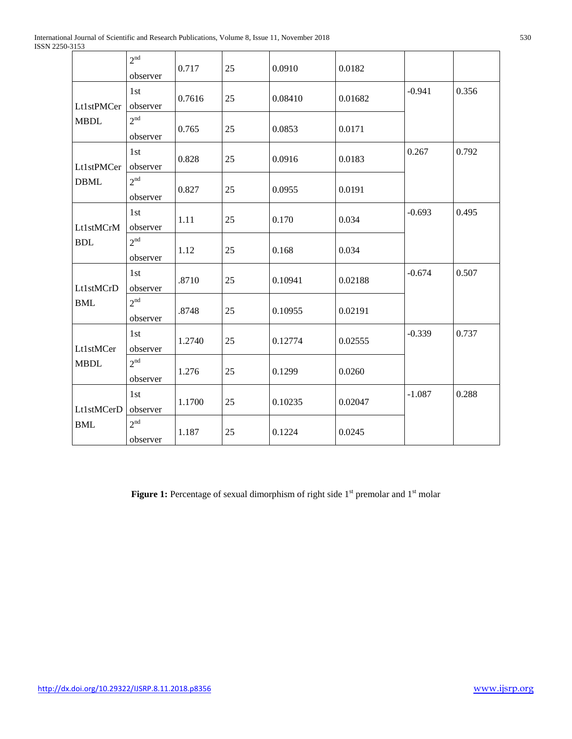|                                                      | 2 <sup>nd</sup><br>observer | 0.717  | 25 | 0.0910  | 0.0182  |          |       |
|------------------------------------------------------|-----------------------------|--------|----|---------|---------|----------|-------|
| Lt1stPMCer<br><b>MBDL</b>                            | 1st<br>observer             | 0.7616 | 25 | 0.08410 | 0.01682 | $-0.941$ | 0.356 |
|                                                      | 2 <sup>nd</sup><br>observer | 0.765  | 25 | 0.0853  | 0.0171  |          |       |
| Lt1stPMCer                                           | 1st<br>observer             | 0.828  | 25 | 0.0916  | 0.0183  | 0.267    | 0.792 |
| <b>DBML</b>                                          | 2 <sup>nd</sup><br>observer | 0.827  | 25 | 0.0955  | 0.0191  |          |       |
| Lt1stMCrM                                            | 1st<br>observer             | 1.11   | 25 | 0.170   | 0.034   | $-0.693$ | 0.495 |
| <b>BDL</b>                                           | 2 <sup>nd</sup><br>observer | 1.12   | 25 | 0.168   | 0.034   |          |       |
| Lt1stMCrD                                            | 1st<br>observer             | .8710  | 25 | 0.10941 | 0.02188 | $-0.674$ | 0.507 |
| <b>BML</b>                                           | 2 <sup>nd</sup><br>observer | .8748  | 25 | 0.10955 | 0.02191 |          |       |
| Lt1stMCer<br><b>MBDL</b><br>Lt1stMCerD<br><b>BML</b> | 1st<br>observer             | 1.2740 | 25 | 0.12774 | 0.02555 | $-0.339$ | 0.737 |
|                                                      | 2 <sup>nd</sup><br>observer | 1.276  | 25 | 0.1299  | 0.0260  |          |       |
|                                                      | 1st<br>observer             | 1.1700 | 25 | 0.10235 | 0.02047 | $-1.087$ | 0.288 |
|                                                      | 2 <sup>nd</sup><br>observer | 1.187  | 25 | 0.1224  | 0.0245  |          |       |

Figure 1: Percentage of sexual dimorphism of right side 1<sup>st</sup> premolar and 1<sup>st</sup> molar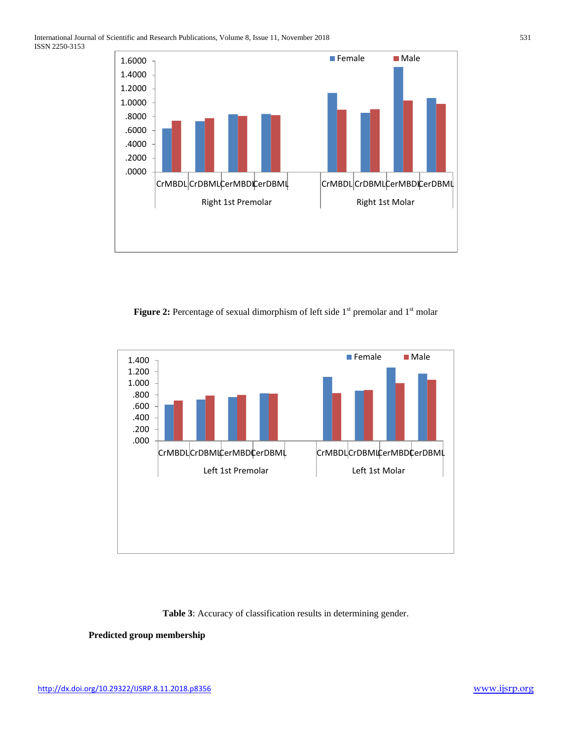

**Figure 2:** Percentage of sexual dimorphism of left side 1<sup>st</sup> premolar and 1<sup>st</sup> molar



## **Table 3**: Accuracy of classification results in determining gender.

## **Predicted group membership**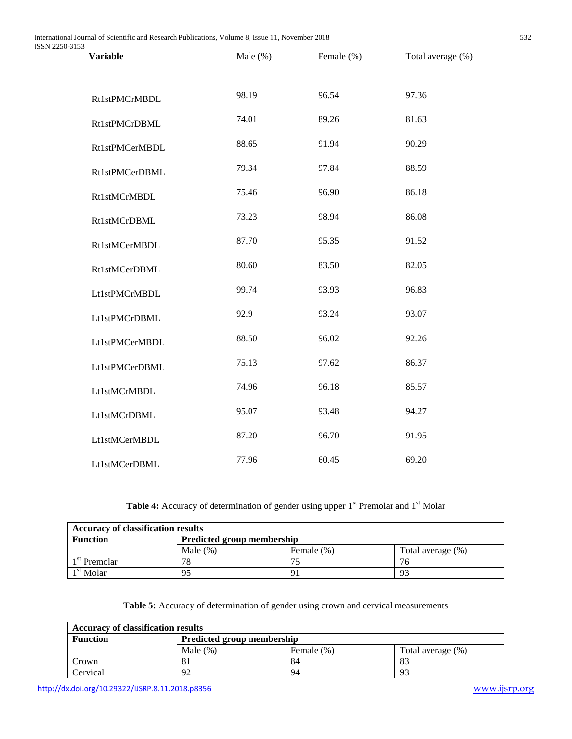| ر ر<br><b>Variable</b> | Male $(\%)$ | Female (%) | Total average (%) |
|------------------------|-------------|------------|-------------------|
| Rt1stPMCrMBDL          | 98.19       | 96.54      | 97.36             |
| Rt1stPMCrDBML          | 74.01       | 89.26      | 81.63             |
| Rt1stPMCerMBDL         | 88.65       | 91.94      | 90.29             |
| Rt1stPMCerDBML         | 79.34       | 97.84      | 88.59             |
| Rt1stMCrMBDL           | 75.46       | 96.90      | 86.18             |
| <b>Rt1stMCrDBML</b>    | 73.23       | 98.94      | 86.08             |
| Rt1stMCerMBDL          | 87.70       | 95.35      | 91.52             |
| Rt1stMCerDBML          | 80.60       | 83.50      | 82.05             |
| Lt1stPMCrMBDL          | 99.74       | 93.93      | 96.83             |
| Lt1stPMCrDBML          | 92.9        | 93.24      | 93.07             |
| Lt1stPMCerMBDL         | 88.50       | 96.02      | 92.26             |
| Lt1stPMCerDBML         | 75.13       | 97.62      | 86.37             |
| Lt1stMCrMBDL           | 74.96       | 96.18      | 85.57             |
| Lt1stMCrDBML           | 95.07       | 93.48      | 94.27             |
| Lt1stMCerMBDL          | 87.20       | 96.70      | 91.95             |
| Lt1stMCerDBML          | 77.96       | 60.45      | 69.20             |

Table 4: Accuracy of determination of gender using upper 1<sup>st</sup> Premolar and 1<sup>st</sup> Molar

| <b>Accuracy of classification results</b> |                                   |               |                   |  |  |  |
|-------------------------------------------|-----------------------------------|---------------|-------------------|--|--|--|
| <b>Function</b>                           | <b>Predicted group membership</b> |               |                   |  |  |  |
|                                           | Male $(\%)$                       | Female $(\%)$ | Total average (%) |  |  |  |
| 1 <sup>st</sup> Premolar                  | 78                                |               |                   |  |  |  |
| <sup>1st</sup> Molar                      | 95                                |               | 93                |  |  |  |

**Table 5:** Accuracy of determination of gender using crown and cervical measurements

| <b>Accuracy of classification results</b> |                            |            |                   |  |  |  |
|-------------------------------------------|----------------------------|------------|-------------------|--|--|--|
| <b>Function</b>                           | Predicted group membership |            |                   |  |  |  |
|                                           | Male $(\%)$                | Female (%) | Total average (%) |  |  |  |
| Crown                                     | 81                         | 84         | 83                |  |  |  |
| Cervical                                  | 92                         | 94         | 93                |  |  |  |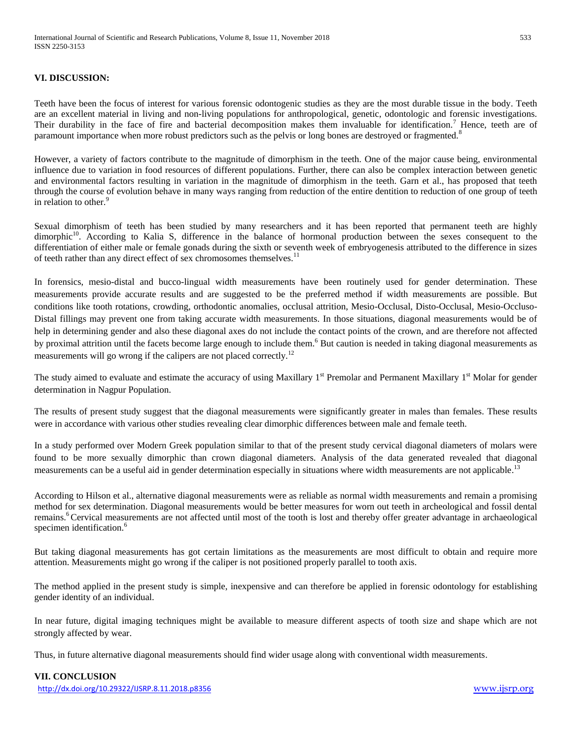#### **VI. DISCUSSION:**

Teeth have been the focus of interest for various forensic odontogenic studies as they are the most durable tissue in the body. Teeth are an excellent material in living and non-living populations for anthropological, genetic, odontologic and forensic investigations. Their durability in the face of fire and bacterial decomposition makes them invaluable for identification.<sup>7</sup> Hence, teeth are of paramount importance when more robust predictors such as the pelvis or long bones are destroyed or fragmented.<sup>8</sup>

However, a variety of factors contribute to the magnitude of dimorphism in the teeth. One of the major cause being, environmental influence due to variation in food resources of different populations. Further, there can also be complex interaction between genetic and environmental factors resulting in variation in the magnitude of dimorphism in the teeth. Garn et al., has proposed that teeth through the course of evolution behave in many ways ranging from reduction of the entire dentition to reduction of one group of teeth in relation to other.<sup>9</sup>

Sexual dimorphism of teeth has been studied by many researchers and it has been reported that permanent teeth are highly dimorphic<sup>10</sup>. According to Kalia S, difference in the balance of hormonal production between the sexes consequent to the differentiation of either male or female gonads during the sixth or seventh week of embryogenesis attributed to the difference in sizes of teeth rather than any direct effect of sex chromosomes themselves.<sup>11</sup>

In forensics, mesio-distal and bucco-lingual width measurements have been routinely used for gender determination. These measurements provide accurate results and are suggested to be the preferred method if width measurements are possible. But conditions like tooth rotations, crowding, orthodontic anomalies, occlusal attrition, Mesio-Occlusal, Disto-Occlusal, Mesio-Occluso-Distal fillings may prevent one from taking accurate width measurements. In those situations, diagonal measurements would be of help in determining gender and also these diagonal axes do not include the contact points of the crown, and are therefore not affected by proximal attrition until the facets become large enough to include them.<sup>6</sup> But caution is needed in taking diagonal measurements as measurements will go wrong if the calipers are not placed correctly.<sup>12</sup>

The study aimed to evaluate and estimate the accuracy of using Maxillary  $1<sup>st</sup>$  Premolar and Permanent Maxillary  $1<sup>st</sup>$  Molar for gender determination in Nagpur Population.

The results of present study suggest that the diagonal measurements were significantly greater in males than females. These results were in accordance with various other studies revealing clear dimorphic differences between male and female teeth.

In a study performed over Modern Greek population similar to that of the present study cervical diagonal diameters of molars were found to be more sexually dimorphic than crown diagonal diameters. Analysis of the data generated revealed that diagonal measurements can be a useful aid in gender determination especially in situations where width measurements are not applicable.<sup>13</sup>

According to Hilson et al., alternative diagonal measurements were as reliable as normal width measurements and remain a promising method for sex determination. Diagonal measurements would be better measures for worn out teeth in archeological and fossil dental remains.<sup>6</sup>Cervical measurements are not affected until most of the tooth is lost and thereby offer greater advantage in archaeological specimen identification.<sup>6</sup>

But taking diagonal measurements has got certain limitations as the measurements are most difficult to obtain and require more attention. Measurements might go wrong if the caliper is not positioned properly parallel to tooth axis.

The method applied in the present study is simple, inexpensive and can therefore be applied in forensic odontology for establishing gender identity of an individual.

In near future, digital imaging techniques might be available to measure different aspects of tooth size and shape which are not strongly affected by wear.

Thus, in future alternative diagonal measurements should find wider usage along with conventional width measurements.